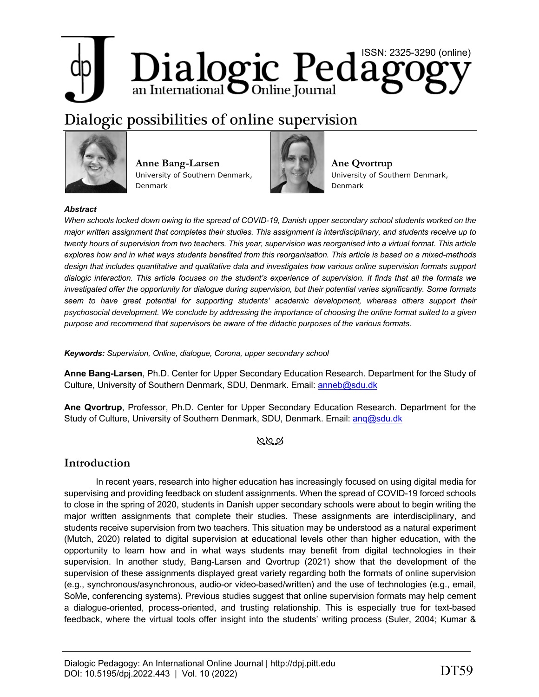# Dialogic Pedagogy

# Dialogic possibilities of online supervision



**Anne Bang-Larsen** University of Southern Denmark, Denmark



**Ane Qvortrup** University of Southern Denmark, Denmark

# *Abstract*

*When schools locked down owing to the spread of COVID-19, Danish upper secondary school students worked on the major written assignment that completes their studies. This assignment is interdisciplinary, and students receive up to twenty hours of supervision from two teachers. This year, supervision was reorganised into a virtual format. This article explores how and in what ways students benefited from this reorganisation. This article is based on a mixed-methods design that includes quantitative and qualitative data and investigates how various online supervision formats support dialogic interaction. This article focuses on the student's experience of supervision. It finds that all the formats we investigated offer the opportunity for dialogue during supervision, but their potential varies significantly. Some formats seem to have great potential for supporting students' academic development, whereas others support their psychosocial development. We conclude by addressing the importance of choosing the online format suited to a given purpose and recommend that supervisors be aware of the didactic purposes of the various formats.*

*Keywords: Supervision, Online, dialogue, Corona, upper secondary school*

**Anne Bang-Larsen**, Ph.D. Center for Upper Secondary Education Research. Department for the Study of Culture, University of Southern Denmark, SDU, Denmark. Email: anneb@sdu.dk

**Ane Qvortrup**, Professor, Ph.D. Center for Upper Secondary Education Research. Department for the Study of Culture, University of Southern Denmark, SDU, Denmark. Email: anq@sdu.dk

# **∖**ି∕ସ ଦ

# **Introduction**

In recent years, research into higher education has increasingly focused on using digital media for supervising and providing feedback on student assignments. When the spread of COVID-19 forced schools to close in the spring of 2020, students in Danish upper secondary schools were about to begin writing the major written assignments that complete their studies. These assignments are interdisciplinary, and students receive supervision from two teachers. This situation may be understood as a natural experiment (Mutch, 2020) related to digital supervision at educational levels other than higher education, with the opportunity to learn how and in what ways students may benefit from digital technologies in their supervision. In another study, Bang-Larsen and Qvortrup (2021) show that the development of the supervision of these assignments displayed great variety regarding both the formats of online supervision (e.g., synchronous/asynchronous, audio-or video-based/written) and the use of technologies (e.g., email, SoMe, conferencing systems). Previous studies suggest that online supervision formats may help cement a dialogue-oriented, process-oriented, and trusting relationship. This is especially true for text-based feedback, where the virtual tools offer insight into the students' writing process (Suler, 2004; Kumar &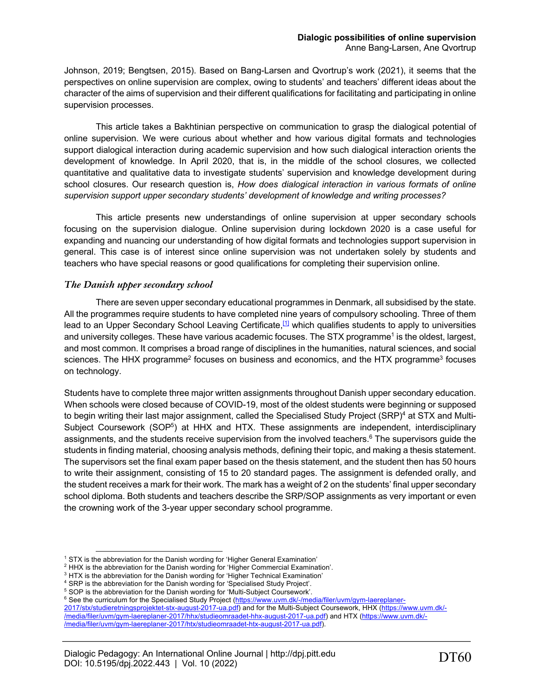Johnson, 2019; Bengtsen, 2015). Based on Bang-Larsen and Qvortrup's work (2021), it seems that the perspectives on online supervision are complex, owing to students' and teachers' different ideas about the character of the aims of supervision and their different qualifications for facilitating and participating in online supervision processes.

This article takes a Bakhtinian perspective on communication to grasp the dialogical potential of online supervision. We were curious about whether and how various digital formats and technologies support dialogical interaction during academic supervision and how such dialogical interaction orients the development of knowledge. In April 2020, that is, in the middle of the school closures, we collected quantitative and qualitative data to investigate students' supervision and knowledge development during school closures. Our research question is, *How does dialogical interaction in various formats of online supervision support upper secondary students' development of knowledge and writing processes?*

This article presents new understandings of online supervision at upper secondary schools focusing on the supervision dialogue. Online supervision during lockdown 2020 is a case useful for expanding and nuancing our understanding of how digital formats and technologies support supervision in general. This case is of interest since online supervision was not undertaken solely by students and teachers who have special reasons or good qualifications for completing their supervision online.

# *The Danish upper secondary school*

There are seven upper secondary educational programmes in Denmark, all subsidised by the state. All the programmes require students to have completed nine years of compulsory schooling. Three of them lead to an Upper Secondary School Leaving Certificate,<sup>[1]</sup> which qualifies students to apply to universities and university colleges. These have various academic focuses. The STX programme<sup>1</sup> is the oldest, largest, and most common. It comprises a broad range of disciplines in the humanities, natural sciences, and social sciences. The HHX programme<sup>2</sup> focuses on business and economics, and the HTX programme<sup>3</sup> focuses on technology.

Students have to complete three major written assignments throughout Danish upper secondary education. When schools were closed because of COVID-19, most of the oldest students were beginning or supposed to begin writing their last major assignment, called the Specialised Study Project (SRP)<sup>4</sup> at STX and Multi-Subject Coursework (SOP<sup>5</sup>) at HHX and HTX. These assignments are independent, interdisciplinary assignments, and the students receive supervision from the involved teachers.<sup>6</sup> The supervisors guide the students in finding material, choosing analysis methods, defining their topic, and making a thesis statement. The supervisors set the final exam paper based on the thesis statement, and the student then has 50 hours to write their assignment, consisting of 15 to 20 standard pages. The assignment is defended orally, and the student receives a mark for their work. The mark has a weight of 2 on the students' final upper secondary school diploma. Both students and teachers describe the SRP/SOP assignments as very important or even the crowning work of the 3-year upper secondary school programme.

<sup>6</sup> See the curriculum for the Specialised Study Project (https://www.uvm.dk/-/media/filer/uvm/gym-laereplaner-

<sup>&</sup>lt;sup>1</sup> STX is the abbreviation for the Danish wording for 'Higher General Examination'  $^2$  HHX is the abbreviation for the Danish wording for 'Higher Commercial Examination'.

 $3$  HTX is the abbreviation for the Danish wording for 'Higher Technical Examination'

<sup>4</sup> SRP is the abbreviation for the Danish wording for 'Specialised Study Project'.

<sup>5</sup> SOP is the abbreviation for the Danish wording for 'Multi-Subject Coursework'.

<sup>2017/</sup>stx/studieretningsprojektet-stx-august-2017-ua.pdf) and for the Multi-Subject Coursework, HHX (https://www.uvm.dk/- /media/filer/uvm/gym-laereplaner-2017/hhx/studieomraadet-hhx-august-2017-ua.pdf) and HTX (https://www.uvm.dk/- /media/filer/uvm/gym-laereplaner-2017/htx/studieomraadet-htx-august-2017-ua.pdf).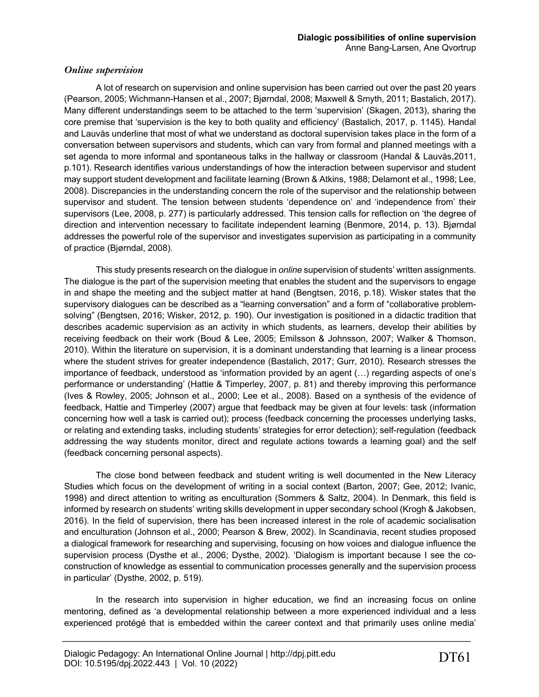# *Online supervision*

A lot of research on supervision and online supervision has been carried out over the past 20 years (Pearson, 2005; Wichmann-Hansen et al., 2007; Bjørndal, 2008; Maxwell & Smyth, 2011; Bastalich, 2017). Many different understandings seem to be attached to the term 'supervision' (Skagen, 2013), sharing the core premise that 'supervision is the key to both quality and efficiency' (Bastalich, 2017, p. 1145). Handal and Lauvås underline that most of what we understand as doctoral supervision takes place in the form of a conversation between supervisors and students, which can vary from formal and planned meetings with a set agenda to more informal and spontaneous talks in the hallway or classroom (Handal & Lauvås,2011, p.101). Research identifies various understandings of how the interaction between supervisor and student may support student development and facilitate learning (Brown & Atkins, 1988; Delamont et al., 1998; Lee, 2008). Discrepancies in the understanding concern the role of the supervisor and the relationship between supervisor and student. The tension between students 'dependence on' and 'independence from' their supervisors (Lee, 2008, p. 277) is particularly addressed. This tension calls for reflection on 'the degree of direction and intervention necessary to facilitate independent learning (Benmore, 2014, p. 13). Bjørndal addresses the powerful role of the supervisor and investigates supervision as participating in a community of practice (Bjørndal, 2008).

This study presents research on the dialogue in *online* supervision of students' written assignments. The dialogue is the part of the supervision meeting that enables the student and the supervisors to engage in and shape the meeting and the subject matter at hand (Bengtsen, 2016, p.18). Wisker states that the supervisory dialogues can be described as a "learning conversation" and a form of "collaborative problemsolving" (Bengtsen, 2016; Wisker, 2012, p. 190). Our investigation is positioned in a didactic tradition that describes academic supervision as an activity in which students, as learners, develop their abilities by receiving feedback on their work (Boud & Lee, 2005; Emilsson & Johnsson, 2007; Walker & Thomson, 2010). Within the literature on supervision, it is a dominant understanding that learning is a linear process where the student strives for greater independence (Bastalich, 2017; Gurr, 2010). Research stresses the importance of feedback, understood as 'information provided by an agent (…) regarding aspects of one's performance or understanding' (Hattie & Timperley, 2007, p. 81) and thereby improving this performance (Ives & Rowley, 2005; Johnson et al., 2000; Lee et al., 2008). Based on a synthesis of the evidence of feedback, Hattie and Timperley (2007) argue that feedback may be given at four levels: task (information concerning how well a task is carried out); process (feedback concerning the processes underlying tasks, or relating and extending tasks, including students' strategies for error detection); self-regulation (feedback addressing the way students monitor, direct and regulate actions towards a learning goal) and the self (feedback concerning personal aspects).

The close bond between feedback and student writing is well documented in the New Literacy Studies which focus on the development of writing in a social context (Barton, 2007; Gee, 2012; Ivanic, 1998) and direct attention to writing as enculturation (Sommers & Saltz, 2004). In Denmark, this field is informed by research on students' writing skills development in upper secondary school (Krogh & Jakobsen, 2016). In the field of supervision, there has been increased interest in the role of academic socialisation and enculturation (Johnson et al., 2000; Pearson & Brew, 2002). In Scandinavia, recent studies proposed a dialogical framework for researching and supervising, focusing on how voices and dialogue influence the supervision process (Dysthe et al., 2006; Dysthe, 2002). 'Dialogism is important because I see the coconstruction of knowledge as essential to communication processes generally and the supervision process in particular' (Dysthe, 2002, p. 519).

In the research into supervision in higher education, we find an increasing focus on online mentoring, defined as 'a developmental relationship between a more experienced individual and a less experienced protégé that is embedded within the career context and that primarily uses online media'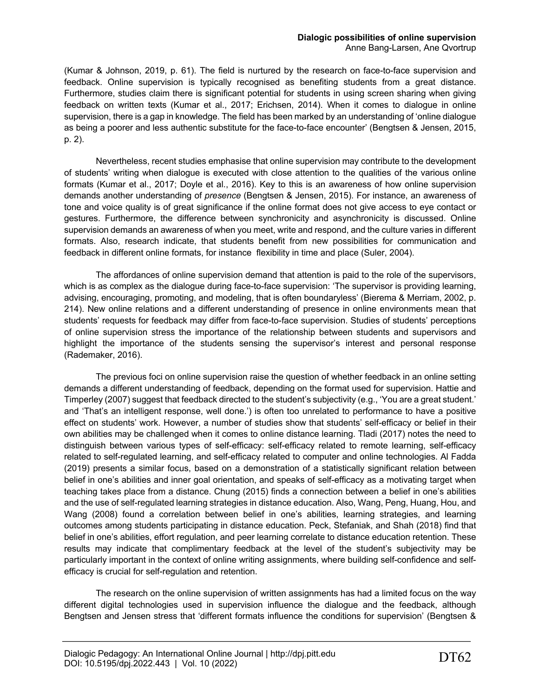(Kumar & Johnson, 2019, p. 61). The field is nurtured by the research on face-to-face supervision and feedback. Online supervision is typically recognised as benefiting students from a great distance. Furthermore, studies claim there is significant potential for students in using screen sharing when giving feedback on written texts (Kumar et al., 2017; Erichsen, 2014). When it comes to dialogue in online supervision, there is a gap in knowledge. The field has been marked by an understanding of 'online dialogue as being a poorer and less authentic substitute for the face-to-face encounter' (Bengtsen & Jensen, 2015, p. 2).

Nevertheless, recent studies emphasise that online supervision may contribute to the development of students' writing when dialogue is executed with close attention to the qualities of the various online formats (Kumar et al., 2017; Doyle et al., 2016). Key to this is an awareness of how online supervision demands another understanding of *presence* (Bengtsen & Jensen, 2015)*.* For instance, an awareness of tone and voice quality is of great significance if the online format does not give access to eye contact or gestures. Furthermore, the difference between synchronicity and asynchronicity is discussed. Online supervision demands an awareness of when you meet, write and respond, and the culture varies in different formats. Also, research indicate, that students benefit from new possibilities for communication and feedback in different online formats, for instance flexibility in time and place (Suler, 2004).

The affordances of online supervision demand that attention is paid to the role of the supervisors, which is as complex as the dialogue during face-to-face supervision: 'The supervisor is providing learning, advising, encouraging, promoting, and modeling, that is often boundaryless' (Bierema & Merriam, 2002, p. 214). New online relations and a different understanding of presence in online environments mean that students' requests for feedback may differ from face-to-face supervision. Studies of students' perceptions of online supervision stress the importance of the relationship between students and supervisors and highlight the importance of the students sensing the supervisor's interest and personal response (Rademaker, 2016).

The previous foci on online supervision raise the question of whether feedback in an online setting demands a different understanding of feedback, depending on the format used for supervision. Hattie and Timperley (2007) suggest that feedback directed to the student's subjectivity (e.g., 'You are a great student.' and 'That's an intelligent response, well done.') is often too unrelated to performance to have a positive effect on students' work. However, a number of studies show that students' self-efficacy or belief in their own abilities may be challenged when it comes to online distance learning. Tladi (2017) notes the need to distinguish between various types of self-efficacy: self-efficacy related to remote learning, self-efficacy related to self-regulated learning, and self-efficacy related to computer and online technologies. Al Fadda (2019) presents a similar focus, based on a demonstration of a statistically significant relation between belief in one's abilities and inner goal orientation, and speaks of self-efficacy as a motivating target when teaching takes place from a distance. Chung (2015) finds a connection between a belief in one's abilities and the use of self-regulated learning strategies in distance education. Also, Wang, Peng, Huang, Hou, and Wang (2008) found a correlation between belief in one's abilities, learning strategies, and learning outcomes among students participating in distance education. Peck, Stefaniak, and Shah (2018) find that belief in one's abilities, effort regulation, and peer learning correlate to distance education retention. These results may indicate that complimentary feedback at the level of the student's subjectivity may be particularly important in the context of online writing assignments, where building self-confidence and selfefficacy is crucial for self-regulation and retention.

The research on the online supervision of written assignments has had a limited focus on the way different digital technologies used in supervision influence the dialogue and the feedback, although Bengtsen and Jensen stress that 'different formats influence the conditions for supervision' (Bengtsen &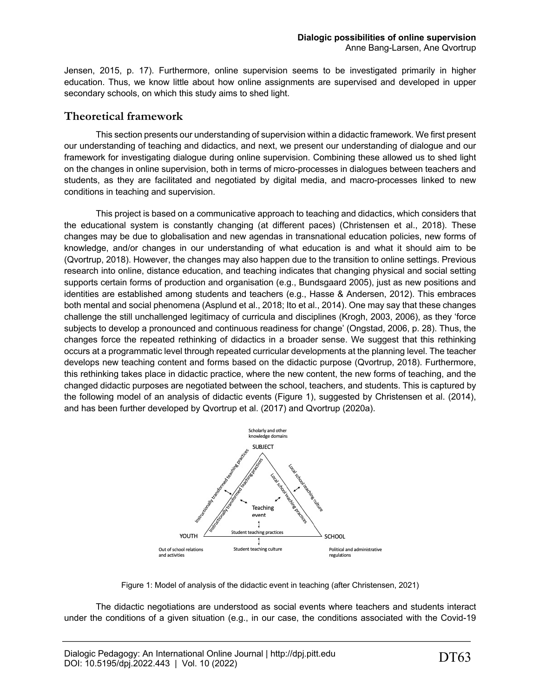Jensen, 2015, p. 17). Furthermore, online supervision seems to be investigated primarily in higher education. Thus, we know little about how online assignments are supervised and developed in upper secondary schools, on which this study aims to shed light.

# **Theoretical framework**

This section presents our understanding of supervision within a didactic framework. We first present our understanding of teaching and didactics, and next, we present our understanding of dialogue and our framework for investigating dialogue during online supervision. Combining these allowed us to shed light on the changes in online supervision, both in terms of micro-processes in dialogues between teachers and students, as they are facilitated and negotiated by digital media, and macro-processes linked to new conditions in teaching and supervision.

This project is based on a communicative approach to teaching and didactics, which considers that the educational system is constantly changing (at different paces) (Christensen et al., 2018). These changes may be due to globalisation and new agendas in transnational education policies, new forms of knowledge, and/or changes in our understanding of what education is and what it should aim to be (Qvortrup, 2018). However, the changes may also happen due to the transition to online settings. Previous research into online, distance education, and teaching indicates that changing physical and social setting supports certain forms of production and organisation (e.g., Bundsgaard 2005), just as new positions and identities are established among students and teachers (e.g., Hasse & Andersen, 2012). This embraces both mental and social phenomena (Asplund et al., 2018; Ito et al., 2014). One may say that these changes challenge the still unchallenged legitimacy of curricula and disciplines (Krogh, 2003, 2006), as they 'force subjects to develop a pronounced and continuous readiness for change' (Ongstad, 2006, p. 28). Thus, the changes force the repeated rethinking of didactics in a broader sense. We suggest that this rethinking occurs at a programmatic level through repeated curricular developments at the planning level. The teacher develops new teaching content and forms based on the didactic purpose (Qvortrup, 2018). Furthermore, this rethinking takes place in didactic practice, where the new content, the new forms of teaching, and the changed didactic purposes are negotiated between the school, teachers, and students. This is captured by the following model of an analysis of didactic events (Figure 1), suggested by Christensen et al. (2014), and has been further developed by Qvortrup et al. (2017) and Qvortrup (2020a).



Figure 1: Model of analysis of the didactic event in teaching (after Christensen, 2021)

The didactic negotiations are understood as social events where teachers and students interact under the conditions of a given situation (e.g., in our case, the conditions associated with the Covid-19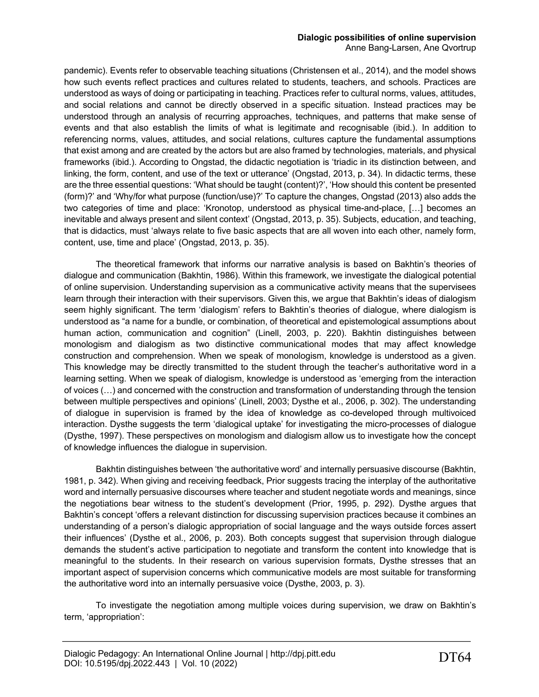pandemic). Events refer to observable teaching situations (Christensen et al., 2014), and the model shows how such events reflect practices and cultures related to students, teachers, and schools. Practices are understood as ways of doing or participating in teaching. Practices refer to cultural norms, values, attitudes, and social relations and cannot be directly observed in a specific situation. Instead practices may be understood through an analysis of recurring approaches, techniques, and patterns that make sense of events and that also establish the limits of what is legitimate and recognisable (ibid.). In addition to referencing norms, values, attitudes, and social relations, cultures capture the fundamental assumptions that exist among and are created by the actors but are also framed by technologies, materials, and physical frameworks (ibid.). According to Ongstad, the didactic negotiation is 'triadic in its distinction between, and linking, the form, content, and use of the text or utterance' (Ongstad, 2013, p. 34). In didactic terms, these are the three essential questions: 'What should be taught (content)?', 'How should this content be presented (form)?' and 'Why/for what purpose (function/use)?' To capture the changes, Ongstad (2013) also adds the two categories of time and place: 'Kronotop, understood as physical time-and-place, […] becomes an inevitable and always present and silent context' (Ongstad, 2013, p. 35). Subjects, education, and teaching, that is didactics, must 'always relate to five basic aspects that are all woven into each other, namely form, content, use, time and place' (Ongstad, 2013, p. 35).

The theoretical framework that informs our narrative analysis is based on Bakhtin's theories of dialogue and communication (Bakhtin, 1986). Within this framework, we investigate the dialogical potential of online supervision. Understanding supervision as a communicative activity means that the supervisees learn through their interaction with their supervisors. Given this, we argue that Bakhtin's ideas of dialogism seem highly significant. The term 'dialogism' refers to Bakhtin's theories of dialogue, where dialogism is understood as "a name for a bundle, or combination, of theoretical and epistemological assumptions about human action, communication and cognition" (Linell, 2003, p. 220). Bakhtin distinguishes between monologism and dialogism as two distinctive communicational modes that may affect knowledge construction and comprehension. When we speak of monologism, knowledge is understood as a given. This knowledge may be directly transmitted to the student through the teacher's authoritative word in a learning setting. When we speak of dialogism, knowledge is understood as 'emerging from the interaction of voices (…) and concerned with the construction and transformation of understanding through the tension between multiple perspectives and opinions' (Linell, 2003; Dysthe et al., 2006, p. 302). The understanding of dialogue in supervision is framed by the idea of knowledge as co-developed through multivoiced interaction. Dysthe suggests the term 'dialogical uptake' for investigating the micro-processes of dialogue (Dysthe, 1997). These perspectives on monologism and dialogism allow us to investigate how the concept of knowledge influences the dialogue in supervision.

Bakhtin distinguishes between 'the authoritative word' and internally persuasive discourse (Bakhtin, 1981, p. 342). When giving and receiving feedback, Prior suggests tracing the interplay of the authoritative word and internally persuasive discourses where teacher and student negotiate words and meanings, since the negotiations bear witness to the student's development (Prior, 1995, p. 292). Dysthe argues that Bakhtin's concept 'offers a relevant distinction for discussing supervision practices because it combines an understanding of a person's dialogic appropriation of social language and the ways outside forces assert their influences' (Dysthe et al., 2006, p. 203). Both concepts suggest that supervision through dialogue demands the student's active participation to negotiate and transform the content into knowledge that is meaningful to the students. In their research on various supervision formats, Dysthe stresses that an important aspect of supervision concerns which communicative models are most suitable for transforming the authoritative word into an internally persuasive voice (Dysthe, 2003, p. 3).

To investigate the negotiation among multiple voices during supervision, we draw on Bakhtin's term, 'appropriation':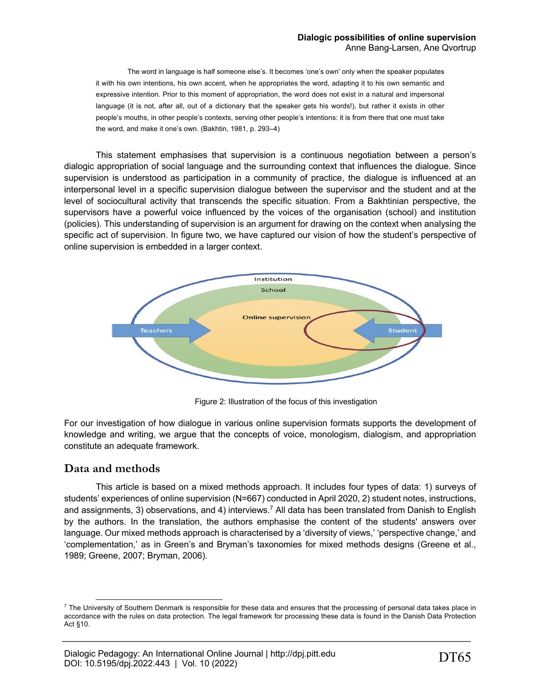The word in language is half someone else's. It becomes 'one's own' only when the speaker populates it with his own intentions, his own accent, when he appropriates the word, adapting it to his own semantic and expressive intention. Prior to this moment of appropriation, the word does not exist in a natural and impersonal language (it is not, after all, out of a dictionary that the speaker gets his words!), but rather it exists in other people's mouths, in other people's contexts, serving other people's intentions: it is from there that one must take the word, and make it one's own. (Bakhtin, 1981, p. 293–4)

This statement emphasises that supervision is a continuous negotiation between a person's dialogic appropriation of social language and the surrounding context that influences the dialogue. Since supervision is understood as participation in a community of practice, the dialogue is influenced at an interpersonal level in a specific supervision dialogue between the supervisor and the student and at the level of sociocultural activity that transcends the specific situation. From a Bakhtinian perspective, the supervisors have a powerful voice influenced by the voices of the organisation (school) and institution (policies). This understanding of supervision is an argument for drawing on the context when analysing the specific act of supervision. In figure two, we have captured our vision of how the student's perspective of online supervision is embedded in a larger context.



Figure 2: Illustration of the focus of this investigation

For our investigation of how dialogue in various online supervision formats supports the development of knowledge and writing, we argue that the concepts of voice, monologism, dialogism, and appropriation constitute an adequate framework.

# **Data and methods**

This article is based on a mixed methods approach. It includes four types of data: 1) surveys of students' experiences of online supervision (N=667) conducted in April 2020, 2) student notes, instructions, and assignments, 3) observations, and 4) interviews.<sup>7</sup> All data has been translated from Danish to English by the authors. In the translation, the authors emphasise the content of the students' answers over language. Our mixed methods approach is characterised by a 'diversity of views,' 'perspective change,' and 'complementation,' as in Green's and Bryman's taxonomies for mixed methods designs (Greene et al., 1989; Greene, 2007; Bryman, 2006).

 $7$  The University of Southern Denmark is responsible for these data and ensures that the processing of personal data takes place in accordance with the rules on data protection. The legal framework for processing these data is found in the Danish Data Protection Act §10.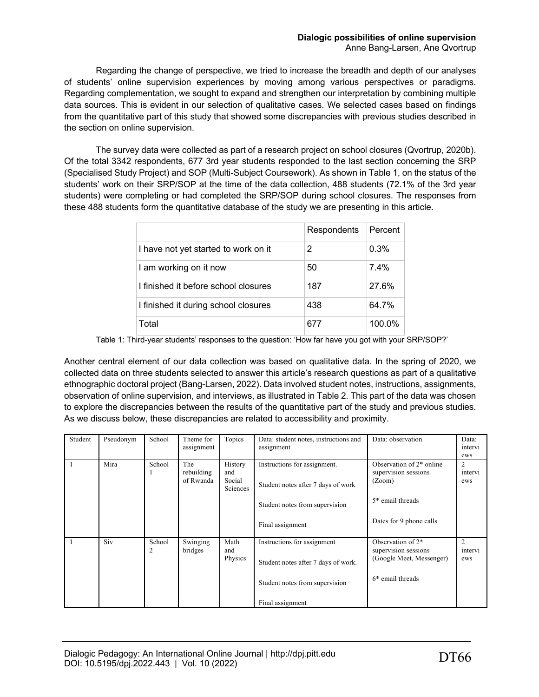Regarding the change of perspective, we tried to increase the breadth and depth of our analyses of students' online supervision experiences by moving among various perspectives or paradigms. Regarding complementation, we sought to expand and strengthen our interpretation by combining multiple data sources. This is evident in our selection of qualitative cases. We selected cases based on findings from the quantitative part of this study that showed some discrepancies with previous studies described in the section on online supervision.

The survey data were collected as part of a research project on school closures (Qvortrup, 2020b). Of the total 3342 respondents, 677 3rd year students responded to the last section concerning the SRP (Specialised Study Project) and SOP (Multi-Subject Coursework). As shown in Table 1, on the status of the students' work on their SRP/SOP at the time of the data collection, 488 students (72.1% of the 3rd year students) were completing or had completed the SRP/SOP during school closures. The responses from these 488 students form the quantitative database of the study we are presenting in this article.

|                                      | Respondents | Percent |
|--------------------------------------|-------------|---------|
| I have not yet started to work on it | 2           | 0.3%    |
| I am working on it now               | 50          | $7.4\%$ |
| I finished it before school closures | 187         | 27.6%   |
| I finished it during school closures | 438         | 64.7%   |
| Total                                | 677         | 100.0%  |

Table 1: Third-year students' responses to the question: 'How far have you got with your SRP/SOP?'

Another central element of our data collection was based on qualitative data. In the spring of 2020, we collected data on three students selected to answer this article's research questions as part of a qualitative ethnographic doctoral project (Bang-Larsen, 2022). Data involved student notes, instructions, assignments, observation of online supervision, and interviews, as illustrated in Table 2. This part of the data was chosen to explore the discrepancies between the results of the quantitative part of the study and previous studies. As we discuss below, these discrepancies are related to accessibility and proximity.

| Student | Pseudonym | School      | Theme for<br>assignment        | Topics                               | Data: student notes, instructions and<br>assignment                                                                      | Data: observation                                                                                         | Data:<br>intervi<br>ews |
|---------|-----------|-------------|--------------------------------|--------------------------------------|--------------------------------------------------------------------------------------------------------------------------|-----------------------------------------------------------------------------------------------------------|-------------------------|
|         | Mira      | School      | The<br>rebuilding<br>of Rwanda | History<br>and<br>Social<br>Sciences | Instructions for assignment.<br>Student notes after 7 days of work<br>Student notes from supervision<br>Final assignment | Observation of 2* online<br>supervision sessions<br>(Zoom)<br>5* email threads<br>Dates for 9 phone calls | 2<br>intervi<br>ews     |
|         | Siv       | School<br>2 | Swinging<br>bridges            | Math<br>and<br>Physics               | Instructions for assignment<br>Student notes after 7 days of work.<br>Student notes from supervision<br>Final assignment | Observation of $2^*$<br>supervision sessions<br>(Google Meet, Messenger)<br>$6*$ email threads            | 2<br>intervi<br>ews     |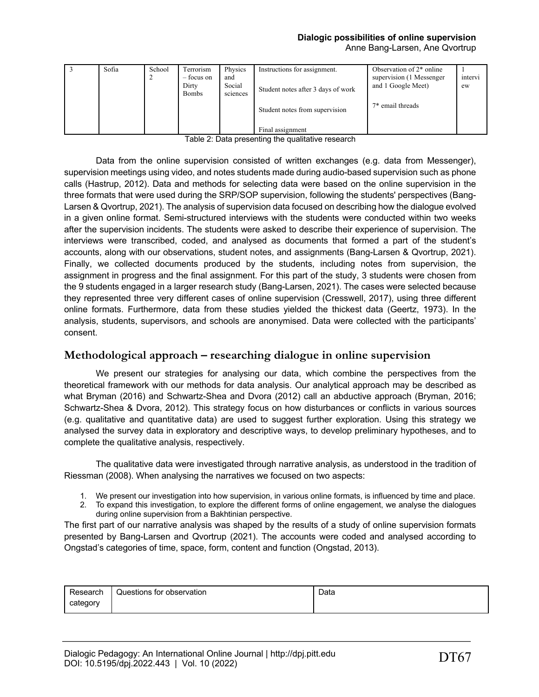# **Dialogic possibilities of online supervision**

Anne Bang-Larsen, Ane Qvortrup

| Sofia | School | Terrorism<br>– focus on<br>Dirty<br><b>Bombs</b> | Physics<br>and<br>Social<br>sciences | Instructions for assignment.<br>Student notes after 3 days of work | Observation of 2 <sup>*</sup> online<br>supervision (1 Messenger<br>and 1 Google Meet) | intervi<br>ew |
|-------|--------|--------------------------------------------------|--------------------------------------|--------------------------------------------------------------------|----------------------------------------------------------------------------------------|---------------|
|       |        |                                                  |                                      | Student notes from supervision                                     | $7*$ email threads                                                                     |               |
|       |        |                                                  |                                      | Final assignment                                                   |                                                                                        |               |

| Table 2: Data presenting the qualitative research |
|---------------------------------------------------|
|---------------------------------------------------|

Data from the online supervision consisted of written exchanges (e.g. data from Messenger), supervision meetings using video, and notes students made during audio-based supervision such as phone calls (Hastrup, 2012). Data and methods for selecting data were based on the online supervision in the three formats that were used during the SRP/SOP supervision, following the students' perspectives (Bang-Larsen & Qvortrup, 2021). The analysis of supervision data focused on describing how the dialogue evolved in a given online format. Semi-structured interviews with the students were conducted within two weeks after the supervision incidents. The students were asked to describe their experience of supervision. The interviews were transcribed, coded, and analysed as documents that formed a part of the student's accounts, along with our observations, student notes, and assignments (Bang-Larsen & Qvortrup, 2021). Finally, we collected documents produced by the students, including notes from supervision, the assignment in progress and the final assignment. For this part of the study, 3 students were chosen from the 9 students engaged in a larger research study (Bang-Larsen, 2021). The cases were selected because they represented three very different cases of online supervision (Cresswell, 2017), using three different online formats. Furthermore, data from these studies yielded the thickest data (Geertz, 1973). In the analysis, students, supervisors, and schools are anonymised. Data were collected with the participants' consent.

# **Methodological approach – researching dialogue in online supervision**

We present our strategies for analysing our data, which combine the perspectives from the theoretical framework with our methods for data analysis. Our analytical approach may be described as what Bryman (2016) and Schwartz-Shea and Dvora (2012) call an abductive approach (Bryman, 2016; Schwartz-Shea & Dvora, 2012). This strategy focus on how disturbances or conflicts in various sources (e.g. qualitative and quantitative data) are used to suggest further exploration. Using this strategy we analysed the survey data in exploratory and descriptive ways, to develop preliminary hypotheses, and to complete the qualitative analysis, respectively.

The qualitative data were investigated through narrative analysis, as understood in the tradition of Riessman (2008). When analysing the narratives we focused on two aspects:

- 1. We present our investigation into how supervision, in various online formats, is influenced by time and place.
- 2. To expand this investigation, to explore the different forms of online engagement, we analyse the dialogues during online supervision from a Bakhtinian perspective.

The first part of our narrative analysis was shaped by the results of a study of online supervision formats presented by Bang-Larsen and Qvortrup (2021). The accounts were coded and analysed according to Ongstad's categories of time, space, form, content and function (Ongstad, 2013).

| Research | Questions for observation | Data |
|----------|---------------------------|------|
| category |                           |      |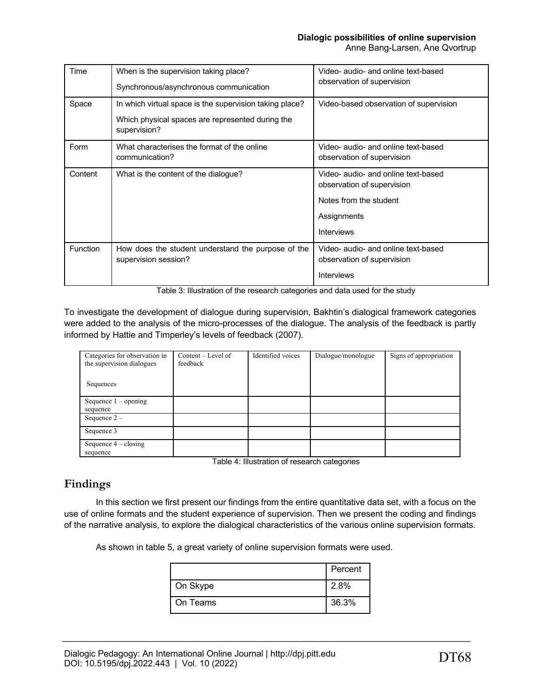**Dialogic possibilities of online supervision**

Anne Bang-Larsen, Ane Qvortrup

| Time            | When is the supervision taking place?<br>Synchronous/asynchronous communication                                             | Video- audio- and online text-based<br>observation of supervision                                                               |
|-----------------|-----------------------------------------------------------------------------------------------------------------------------|---------------------------------------------------------------------------------------------------------------------------------|
| Space           | In which virtual space is the supervision taking place?<br>Which physical spaces are represented during the<br>supervision? | Video-based observation of supervision                                                                                          |
| Form            | What characterises the format of the online<br>communication?                                                               | Video- audio- and online text-based<br>observation of supervision                                                               |
| Content         | What is the content of the dialogue?                                                                                        | Video- audio- and online text-based<br>observation of supervision<br>Notes from the student<br>Assignments<br><b>Interviews</b> |
| <b>Function</b> | How does the student understand the purpose of the<br>supervision session?                                                  | Video- audio- and online text-based<br>observation of supervision<br><b>Interviews</b>                                          |

Table 3: Illustration of the research categories and data used for the study

To investigate the development of dialogue during supervision, Bakhtin's dialogical framework categories were added to the analysis of the micro-processes of the dialogue. The analysis of the feedback is partly informed by Hattie and Timperley's levels of feedback (2007).

| Categories for observation in<br>the supervision dialogues | $Content - Level of$<br>feedback | Identified voices | Dialogue/monologue | Signs of appropriation |
|------------------------------------------------------------|----------------------------------|-------------------|--------------------|------------------------|
| Sequences                                                  |                                  |                   |                    |                        |
| Sequence $1$ – opening                                     |                                  |                   |                    |                        |
| sequence                                                   |                                  |                   |                    |                        |
| Sequence $2 -$                                             |                                  |                   |                    |                        |
| Sequence 3                                                 |                                  |                   |                    |                        |
| Sequence $4 - closing$                                     |                                  |                   |                    |                        |
| sequence                                                   |                                  |                   |                    |                        |

Table 4: Illustration of research categories

# **Findings**

In this section we first present our findings from the entire quantitative data set, with a focus on the use of online formats and the student experience of supervision. Then we present the coding and findings of the narrative analysis, to explore the dialogical characteristics of the various online supervision formats.

As shown in table 5, a great variety of online supervision formats were used.

|          | Percent |
|----------|---------|
| On Skype | 2.8%    |
| On Teams | 36.3%   |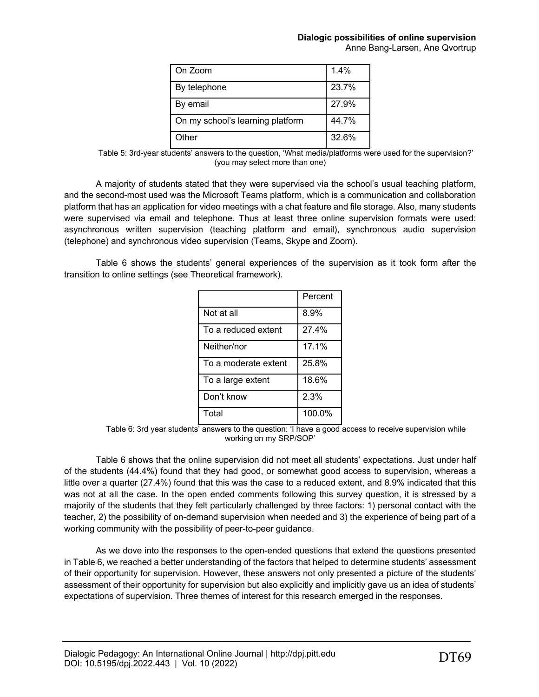| On Zoom                          | 1.4%  |
|----------------------------------|-------|
| By telephone                     | 23.7% |
| By email                         | 27.9% |
| On my school's learning platform | 44.7% |
| Other                            | 32.6% |

Table 5: 3rd-year students' answers to the question, 'What media/platforms were used for the supervision?' (you may select more than one)

A majority of students stated that they were supervised via the school's usual teaching platform, and the second-most used was the Microsoft Teams platform, which is a communication and collaboration platform that has an application for video meetings with a chat feature and file storage. Also, many students were supervised via email and telephone. Thus at least three online supervision formats were used: asynchronous written supervision (teaching platform and email), synchronous audio supervision (telephone) and synchronous video supervision (Teams, Skype and Zoom).

Table 6 shows the students' general experiences of the supervision as it took form after the transition to online settings (see Theoretical framework).

|                      | Percent |
|----------------------|---------|
| Not at all           | 8.9%    |
| To a reduced extent  | 27.4%   |
| Neither/nor          | 17.1%   |
| To a moderate extent | 25.8%   |
| To a large extent    | 18.6%   |
| Don't know           | 2.3%    |
| Total                | 100.0%  |

Table 6: 3rd year students' answers to the question: 'I have a good access to receive supervision while working on my SRP/SOP'

Table 6 shows that the online supervision did not meet all students' expectations. Just under half of the students (44.4%) found that they had good, or somewhat good access to supervision, whereas a little over a quarter (27.4%) found that this was the case to a reduced extent, and 8.9% indicated that this was not at all the case. In the open ended comments following this survey question, it is stressed by a majority of the students that they felt particularly challenged by three factors: 1) personal contact with the teacher, 2) the possibility of on-demand supervision when needed and 3) the experience of being part of a working community with the possibility of peer-to-peer guidance.

As we dove into the responses to the open-ended questions that extend the questions presented in Table 6, we reached a better understanding of the factors that helped to determine students' assessment of their opportunity for supervision. However, these answers not only presented a picture of the students' assessment of their opportunity for supervision but also explicitly and implicitly gave us an idea of students' expectations of supervision. Three themes of interest for this research emerged in the responses.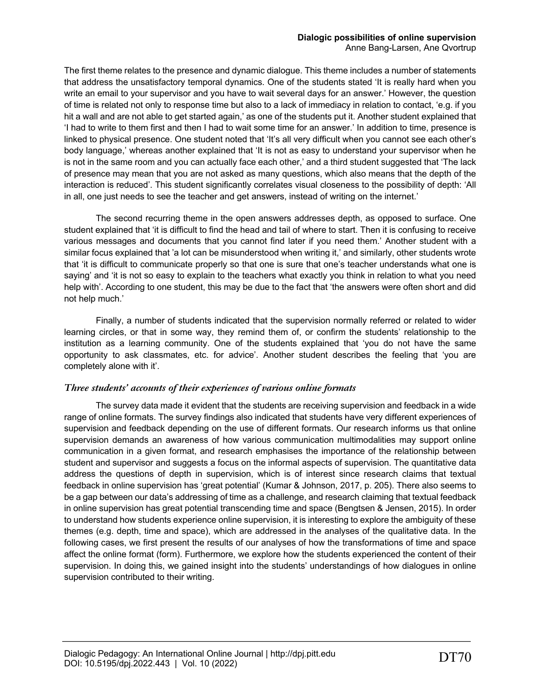The first theme relates to the presence and dynamic dialogue. This theme includes a number of statements that address the unsatisfactory temporal dynamics. One of the students stated 'It is really hard when you write an email to your supervisor and you have to wait several days for an answer.' However, the question of time is related not only to response time but also to a lack of immediacy in relation to contact, 'e.g. if you hit a wall and are not able to get started again,' as one of the students put it. Another student explained that 'I had to write to them first and then I had to wait some time for an answer.' In addition to time, presence is linked to physical presence. One student noted that 'It's all very difficult when you cannot see each other's body language,' whereas another explained that 'It is not as easy to understand your supervisor when he is not in the same room and you can actually face each other,' and a third student suggested that 'The lack of presence may mean that you are not asked as many questions, which also means that the depth of the interaction is reduced'. This student significantly correlates visual closeness to the possibility of depth: 'All in all, one just needs to see the teacher and get answers, instead of writing on the internet.'

The second recurring theme in the open answers addresses depth, as opposed to surface. One student explained that 'it is difficult to find the head and tail of where to start. Then it is confusing to receive various messages and documents that you cannot find later if you need them.' Another student with a similar focus explained that 'a lot can be misunderstood when writing it,' and similarly, other students wrote that 'it is difficult to communicate properly so that one is sure that one's teacher understands what one is saying' and 'it is not so easy to explain to the teachers what exactly you think in relation to what you need help with'. According to one student, this may be due to the fact that 'the answers were often short and did not help much.'

Finally, a number of students indicated that the supervision normally referred or related to wider learning circles, or that in some way, they remind them of, or confirm the students' relationship to the institution as a learning community. One of the students explained that 'you do not have the same opportunity to ask classmates, etc. for advice'. Another student describes the feeling that 'you are completely alone with it'.

# *Three students' accounts of their experiences of various online formats*

The survey data made it evident that the students are receiving supervision and feedback in a wide range of online formats. The survey findings also indicated that students have very different experiences of supervision and feedback depending on the use of different formats. Our research informs us that online supervision demands an awareness of how various communication multimodalities may support online communication in a given format, and research emphasises the importance of the relationship between student and supervisor and suggests a focus on the informal aspects of supervision. The quantitative data address the questions of depth in supervision, which is of interest since research claims that textual feedback in online supervision has 'great potential' (Kumar & Johnson, 2017, p. 205). There also seems to be a gap between our data's addressing of time as a challenge, and research claiming that textual feedback in online supervision has great potential transcending time and space (Bengtsen & Jensen, 2015). In order to understand how students experience online supervision, it is interesting to explore the ambiguity of these themes (e.g. depth, time and space), which are addressed in the analyses of the qualitative data. In the following cases, we first present the results of our analyses of how the transformations of time and space affect the online format (form). Furthermore, we explore how the students experienced the content of their supervision. In doing this, we gained insight into the students' understandings of how dialogues in online supervision contributed to their writing.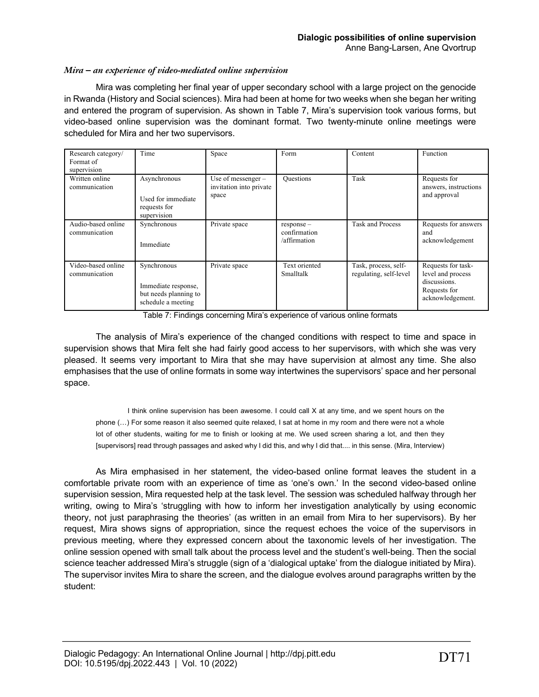# *Mira – an experience of video-mediated online supervision*

Mira was completing her final year of upper secondary school with a large project on the genocide in Rwanda (History and Social sciences). Mira had been at home for two weeks when she began her writing and entered the program of supervision. As shown in Table 7, Mira's supervision took various forms, but video-based online supervision was the dominant format. Two twenty-minute online meetings were scheduled for Mira and her two supervisors.

| Research category/<br>Format of<br>supervision | Time                                                                              | Space                                                    | Form                                         | Content                                        | Function                                                                                    |
|------------------------------------------------|-----------------------------------------------------------------------------------|----------------------------------------------------------|----------------------------------------------|------------------------------------------------|---------------------------------------------------------------------------------------------|
| Written online<br>communication                | Asynchronous<br>Used for immediate<br>requests for<br>supervision                 | Use of messenger $-$<br>invitation into private<br>space | <b>Questions</b>                             | Task                                           | Requests for<br>answers, instructions<br>and approval                                       |
| Audio-based online<br>communication            | Synchronous<br>Immediate                                                          | Private space                                            | $response -$<br>confirmation<br>/affirmation | <b>Task and Process</b>                        | Requests for answers<br>and<br>acknowledgement                                              |
| Video-based online<br>communication            | Synchronous<br>Immediate response,<br>but needs planning to<br>schedule a meeting | Private space                                            | Text oriented<br>Smalltalk                   | Task, process, self-<br>regulating, self-level | Requests for task-<br>level and process<br>discussions.<br>Requests for<br>acknowledgement. |

Table 7: Findings concerning Mira's experience of various online formats

The analysis of Mira's experience of the changed conditions with respect to time and space in supervision shows that Mira felt she had fairly good access to her supervisors, with which she was very pleased. It seems very important to Mira that she may have supervision at almost any time. She also emphasises that the use of online formats in some way intertwines the supervisors' space and her personal space.

I think online supervision has been awesome. I could call X at any time, and we spent hours on the phone (…) For some reason it also seemed quite relaxed, I sat at home in my room and there were not a whole lot of other students, waiting for me to finish or looking at me. We used screen sharing a lot, and then they [supervisors] read through passages and asked why I did this, and why I did that.... in this sense. (Mira, Interview)

As Mira emphasised in her statement, the video-based online format leaves the student in a comfortable private room with an experience of time as 'one's own.' In the second video-based online supervision session, Mira requested help at the task level. The session was scheduled halfway through her writing, owing to Mira's 'struggling with how to inform her investigation analytically by using economic theory, not just paraphrasing the theories' (as written in an email from Mira to her supervisors). By her request, Mira shows signs of appropriation, since the request echoes the voice of the supervisors in previous meeting, where they expressed concern about the taxonomic levels of her investigation. The online session opened with small talk about the process level and the student's well-being. Then the social science teacher addressed Mira's struggle (sign of a 'dialogical uptake' from the dialogue initiated by Mira). The supervisor invites Mira to share the screen, and the dialogue evolves around paragraphs written by the student: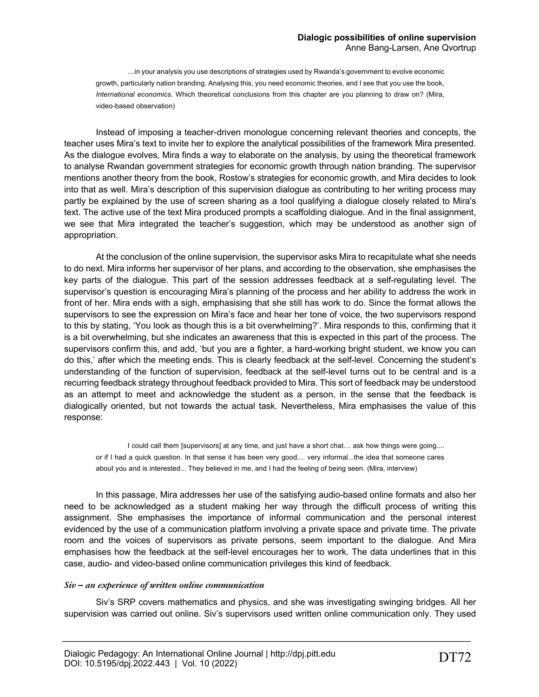…in your analysis you use descriptions of strategies used by Rwanda's government to evolve economic growth, particularly nation branding. Analysing this, you need economic theories, and I see that you use the book, *International economics*. Which theoretical conclusions from this chapter are you planning to draw on? (Mira, video-based observation)

Instead of imposing a teacher-driven monologue concerning relevant theories and concepts, the teacher uses Mira's text to invite her to explore the analytical possibilities of the framework Mira presented. As the dialogue evolves, Mira finds a way to elaborate on the analysis, by using the theoretical framework to analyse Rwandan government strategies for economic growth through nation branding. The supervisor mentions another theory from the book, Rostow's strategies for economic growth, and Mira decides to look into that as well. Mira's description of this supervision dialogue as contributing to her writing process may partly be explained by the use of screen sharing as a tool qualifying a dialogue closely related to Mira's text. The active use of the text Mira produced prompts a scaffolding dialogue. And in the final assignment, we see that Mira integrated the teacher's suggestion, which may be understood as another sign of appropriation.

At the conclusion of the online supervision, the supervisor asks Mira to recapitulate what she needs to do next. Mira informs her supervisor of her plans, and according to the observation, she emphasises the key parts of the dialogue. This part of the session addresses feedback at a self-regulating level. The supervisor's question is encouraging Mira's planning of the process and her ability to address the work in front of her. Mira ends with a sigh, emphasising that she still has work to do. Since the format allows the supervisors to see the expression on Mira's face and hear her tone of voice, the two supervisors respond to this by stating, 'You look as though this is a bit overwhelming?'. Mira responds to this, confirming that it is a bit overwhelming, but she indicates an awareness that this is expected in this part of the process. The supervisors confirm this, and add, 'but you are a fighter, a hard-working bright student, we know you can do this,' after which the meeting ends. This is clearly feedback at the self-level. Concerning the student's understanding of the function of supervision, feedback at the self-level turns out to be central and is a recurring feedback strategy throughout feedback provided to Mira. This sort of feedback may be understood as an attempt to meet and acknowledge the student as a person, in the sense that the feedback is dialogically oriented, but not towards the actual task. Nevertheless, Mira emphasises the value of this response:

I could call them [supervisors] at any time, and just have a short chat… ask how things were going.... or if I had a quick question. In that sense it has been very good.... very informal...the idea that someone cares about you and is interested... They believed in me, and I had the feeling of being seen. (Mira, interview)

In this passage, Mira addresses her use of the satisfying audio-based online formats and also her need to be acknowledged as a student making her way through the difficult process of writing this assignment. She emphasises the importance of informal communication and the personal interest evidenced by the use of a communication platform involving a private space and private time. The private room and the voices of supervisors as private persons, seem important to the dialogue. And Mira emphasises how the feedback at the self-level encourages her to work. The data underlines that in this case, audio- and video-based online communication privileges this kind of feedback.

### *Siv – an experience of written online communication*

Siv's SRP covers mathematics and physics, and she was investigating swinging bridges. All her supervision was carried out online. Siv's supervisors used written online communication only. They used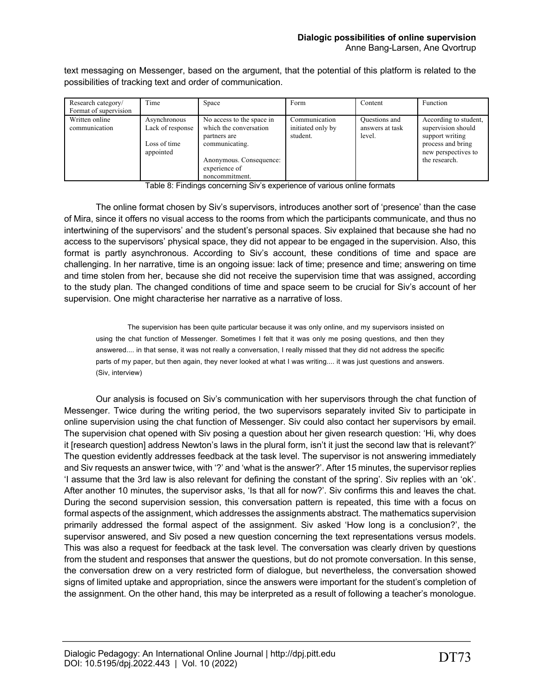text messaging on Messenger, based on the argument, that the potential of this platform is related to the possibilities of tracking text and order of communication.

| Research category/<br>Format of supervision | Time                                                          | Space                                                                                                                                               | Form                                           | Content                                    | Function                                                                                                                    |
|---------------------------------------------|---------------------------------------------------------------|-----------------------------------------------------------------------------------------------------------------------------------------------------|------------------------------------------------|--------------------------------------------|-----------------------------------------------------------------------------------------------------------------------------|
| Written online<br>communication             | Asynchronous<br>Lack of response<br>Loss of time<br>appointed | No access to the space in<br>which the conversation<br>partners are<br>communicating.<br>Anonymous. Consequence:<br>experience of<br>noncommitment. | Communication<br>initiated only by<br>student. | Questions and<br>answers at task<br>level. | According to student,<br>supervision should<br>support writing<br>process and bring<br>new perspectives to<br>the research. |

Table 8: Findings concerning Siv's experience of various online formats

The online format chosen by Siv's supervisors, introduces another sort of 'presence' than the case of Mira, since it offers no visual access to the rooms from which the participants communicate, and thus no intertwining of the supervisors' and the student's personal spaces. Siv explained that because she had no access to the supervisors' physical space, they did not appear to be engaged in the supervision. Also, this format is partly asynchronous. According to Siv's account, these conditions of time and space are challenging. In her narrative, time is an ongoing issue: lack of time; presence and time; answering on time and time stolen from her, because she did not receive the supervision time that was assigned, according to the study plan. The changed conditions of time and space seem to be crucial for Siv's account of her supervision. One might characterise her narrative as a narrative of loss.

The supervision has been quite particular because it was only online, and my supervisors insisted on using the chat function of Messenger. Sometimes I felt that it was only me posing questions, and then they answered.... in that sense, it was not really a conversation, I really missed that they did not address the specific parts of my paper, but then again, they never looked at what I was writing.... it was just questions and answers. (Siv, interview)

Our analysis is focused on Siv's communication with her supervisors through the chat function of Messenger. Twice during the writing period, the two supervisors separately invited Siv to participate in online supervision using the chat function of Messenger. Siv could also contact her supervisors by email. The supervision chat opened with Siv posing a question about her given research question: 'Hi, why does it [research question] address Newton's laws in the plural form, isn't it just the second law that is relevant?' The question evidently addresses feedback at the task level. The supervisor is not answering immediately and Siv requests an answer twice, with '?' and 'what is the answer?'. After 15 minutes, the supervisor replies 'I assume that the 3rd law is also relevant for defining the constant of the spring'. Siv replies with an 'ok'. After another 10 minutes, the supervisor asks, 'Is that all for now?'. Siv confirms this and leaves the chat. During the second supervision session, this conversation pattern is repeated, this time with a focus on formal aspects of the assignment, which addresses the assignments abstract. The mathematics supervision primarily addressed the formal aspect of the assignment. Siv asked 'How long is a conclusion?', the supervisor answered, and Siv posed a new question concerning the text representations versus models. This was also a request for feedback at the task level. The conversation was clearly driven by questions from the student and responses that answer the questions, but do not promote conversation. In this sense, the conversation drew on a very restricted form of dialogue, but nevertheless, the conversation showed signs of limited uptake and appropriation, since the answers were important for the student's completion of the assignment. On the other hand, this may be interpreted as a result of following a teacher's monologue.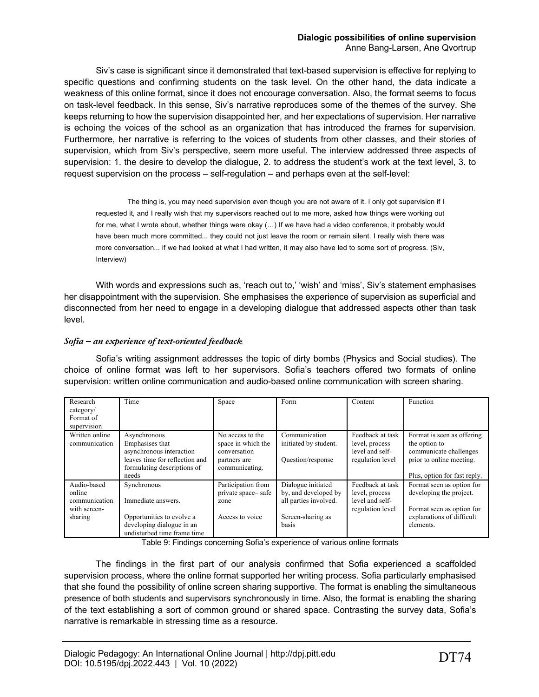Siv's case is significant since it demonstrated that text-based supervision is effective for replying to specific questions and confirming students on the task level. On the other hand, the data indicate a weakness of this online format, since it does not encourage conversation. Also, the format seems to focus on task-level feedback. In this sense, Siv's narrative reproduces some of the themes of the survey. She keeps returning to how the supervision disappointed her, and her expectations of supervision. Her narrative is echoing the voices of the school as an organization that has introduced the frames for supervision. Furthermore, her narrative is referring to the voices of students from other classes, and their stories of supervision, which from Siv's perspective, seem more useful. The interview addressed three aspects of supervision: 1. the desire to develop the dialogue, 2. to address the student's work at the text level, 3. to request supervision on the process – self-regulation – and perhaps even at the self-level:

The thing is, you may need supervision even though you are not aware of it. I only got supervision if I requested it, and I really wish that my supervisors reached out to me more, asked how things were working out for me, what I wrote about, whether things were okay (…) If we have had a video conference, it probably would have been much more committed... they could not just leave the room or remain silent. I really wish there was more conversation... if we had looked at what I had written, it may also have led to some sort of progress. (Siv, Interview)

With words and expressions such as, 'reach out to,' 'wish' and 'miss', Siv's statement emphasises her disappointment with the supervision. She emphasises the experience of supervision as superficial and disconnected from her need to engage in a developing dialogue that addressed aspects other than task level.

# *Sofia – an experience of text-oriented feedback*

Sofia's writing assignment addresses the topic of dirty bombs (Physics and Social studies). The choice of online format was left to her supervisors. Sofia's teachers offered two formats of online supervision: written online communication and audio-based online communication with screen sharing.

| Research<br>category/<br>Format of<br>supervision                 | Time                                                                                                                                  | Space                                                                                    | Form                                                                                                     | Content                                                                   | Function                                                                                                                          |
|-------------------------------------------------------------------|---------------------------------------------------------------------------------------------------------------------------------------|------------------------------------------------------------------------------------------|----------------------------------------------------------------------------------------------------------|---------------------------------------------------------------------------|-----------------------------------------------------------------------------------------------------------------------------------|
| Written online<br>communication                                   | Asynchronous<br>Emphasises that<br>asynchronous interaction<br>leaves time for reflection and<br>formulating descriptions of<br>needs | No access to the<br>space in which the<br>conversation<br>partners are<br>communicating. | Communication<br>initiated by student.<br>Question/response                                              | Feedback at task<br>level, process<br>level and self-<br>regulation level | Format is seen as offering<br>the option to<br>communicate challenges<br>prior to online meeting.<br>Plus, option for fast reply. |
| Audio-based<br>online<br>communication<br>with screen-<br>sharing | Synchronous<br>Immediate answers.<br>Opportunities to evolve a<br>developing dialogue in an<br>undisturbed time frame time            | Participation from<br>private space-safe<br>zone<br>Access to voice                      | Dialogue initiated<br>by, and developed by<br>all parties involved.<br>Screen-sharing as<br><b>basis</b> | Feedback at task<br>level, process<br>level and self-<br>regulation level | Format seen as option for<br>developing the project.<br>Format seen as option for<br>explanations of difficult<br>elements.       |

Table 9: Findings concerning Sofia's experience of various online formats

The findings in the first part of our analysis confirmed that Sofia experienced a scaffolded supervision process, where the online format supported her writing process. Sofia particularly emphasised that she found the possibility of online screen sharing supportive. The format is enabling the simultaneous presence of both students and supervisors synchronously in time. Also, the format is enabling the sharing of the text establishing a sort of common ground or shared space. Contrasting the survey data, Sofia's narrative is remarkable in stressing time as a resource.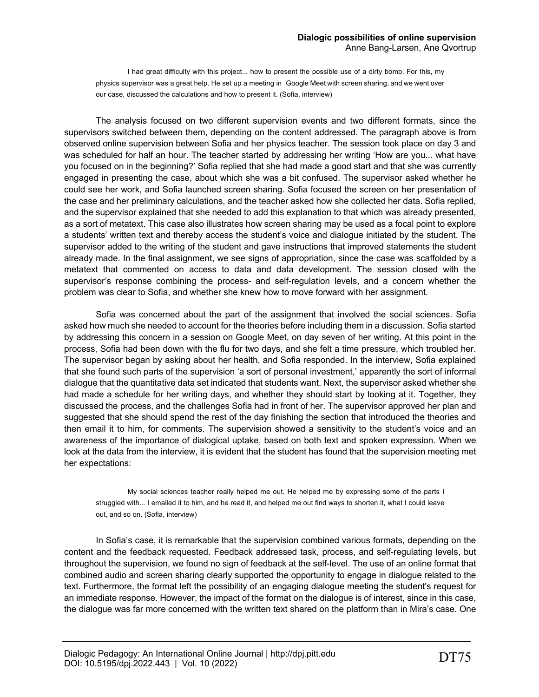I had great difficulty with this project... how to present the possible use of a dirty bomb. For this, my physics supervisor was a great help. He set up a meeting in Google Meet with screen sharing, and we went over our case, discussed the calculations and how to present it. (Sofia, interview)

The analysis focused on two different supervision events and two different formats, since the supervisors switched between them, depending on the content addressed. The paragraph above is from observed online supervision between Sofia and her physics teacher. The session took place on day 3 and was scheduled for half an hour. The teacher started by addressing her writing 'How are you... what have you focused on in the beginning?' Sofia replied that she had made a good start and that she was currently engaged in presenting the case, about which she was a bit confused. The supervisor asked whether he could see her work, and Sofia launched screen sharing. Sofia focused the screen on her presentation of the case and her preliminary calculations, and the teacher asked how she collected her data. Sofia replied, and the supervisor explained that she needed to add this explanation to that which was already presented, as a sort of metatext. This case also illustrates how screen sharing may be used as a focal point to explore a students' written text and thereby access the student's voice and dialogue initiated by the student. The supervisor added to the writing of the student and gave instructions that improved statements the student already made. In the final assignment, we see signs of appropriation, since the case was scaffolded by a metatext that commented on access to data and data development. The session closed with the supervisor's response combining the process- and self-regulation levels, and a concern whether the problem was clear to Sofia, and whether she knew how to move forward with her assignment.

Sofia was concerned about the part of the assignment that involved the social sciences. Sofia asked how much she needed to account for the theories before including them in a discussion. Sofia started by addressing this concern in a session on Google Meet, on day seven of her writing. At this point in the process, Sofia had been down with the flu for two days, and she felt a time pressure, which troubled her. The supervisor began by asking about her health, and Sofia responded. In the interview, Sofia explained that she found such parts of the supervision 'a sort of personal investment,' apparently the sort of informal dialogue that the quantitative data set indicated that students want. Next, the supervisor asked whether she had made a schedule for her writing days, and whether they should start by looking at it. Together, they discussed the process, and the challenges Sofia had in front of her. The supervisor approved her plan and suggested that she should spend the rest of the day finishing the section that introduced the theories and then email it to him, for comments. The supervision showed a sensitivity to the student's voice and an awareness of the importance of dialogical uptake, based on both text and spoken expression. When we look at the data from the interview, it is evident that the student has found that the supervision meeting met her expectations:

My social sciences teacher really helped me out. He helped me by expressing some of the parts I struggled with... I emailed it to him, and he read it, and helped me out find ways to shorten it, what I could leave out, and so on. (Sofia, interview)

In Sofia's case, it is remarkable that the supervision combined various formats, depending on the content and the feedback requested. Feedback addressed task, process, and self-regulating levels, but throughout the supervision, we found no sign of feedback at the self-level. The use of an online format that combined audio and screen sharing clearly supported the opportunity to engage in dialogue related to the text. Furthermore, the format left the possibility of an engaging dialogue meeting the student's request for an immediate response. However, the impact of the format on the dialogue is of interest, since in this case, the dialogue was far more concerned with the written text shared on the platform than in Mira's case. One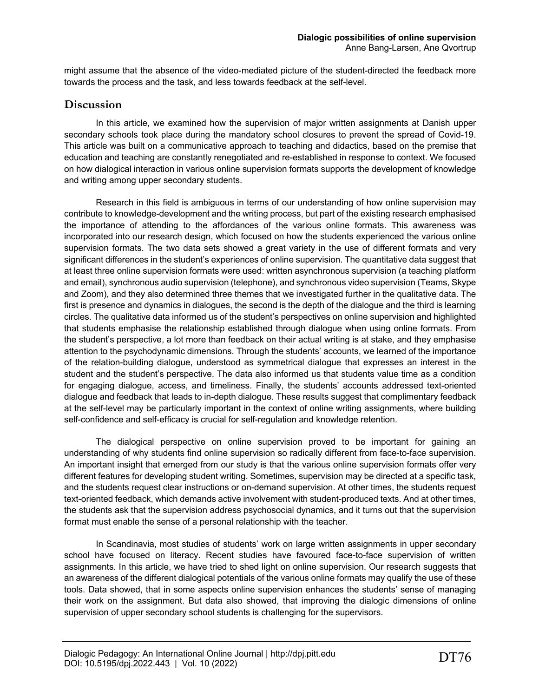might assume that the absence of the video-mediated picture of the student-directed the feedback more towards the process and the task, and less towards feedback at the self-level.

# **Discussion**

In this article, we examined how the supervision of major written assignments at Danish upper secondary schools took place during the mandatory school closures to prevent the spread of Covid-19. This article was built on a communicative approach to teaching and didactics, based on the premise that education and teaching are constantly renegotiated and re-established in response to context. We focused on how dialogical interaction in various online supervision formats supports the development of knowledge and writing among upper secondary students.

Research in this field is ambiguous in terms of our understanding of how online supervision may contribute to knowledge-development and the writing process, but part of the existing research emphasised the importance of attending to the affordances of the various online formats. This awareness was incorporated into our research design, which focused on how the students experienced the various online supervision formats. The two data sets showed a great variety in the use of different formats and very significant differences in the student's experiences of online supervision. The quantitative data suggest that at least three online supervision formats were used: written asynchronous supervision (a teaching platform and email), synchronous audio supervision (telephone), and synchronous video supervision (Teams, Skype and Zoom), and they also determined three themes that we investigated further in the qualitative data. The first is presence and dynamics in dialogues, the second is the depth of the dialogue and the third is learning circles. The qualitative data informed us of the student's perspectives on online supervision and highlighted that students emphasise the relationship established through dialogue when using online formats. From the student's perspective, a lot more than feedback on their actual writing is at stake, and they emphasise attention to the psychodynamic dimensions. Through the students' accounts, we learned of the importance of the relation-building dialogue, understood as symmetrical dialogue that expresses an interest in the student and the student's perspective. The data also informed us that students value time as a condition for engaging dialogue, access, and timeliness. Finally, the students' accounts addressed text-oriented dialogue and feedback that leads to in-depth dialogue. These results suggest that complimentary feedback at the self-level may be particularly important in the context of online writing assignments, where building self-confidence and self-efficacy is crucial for self-regulation and knowledge retention.

The dialogical perspective on online supervision proved to be important for gaining an understanding of why students find online supervision so radically different from face-to-face supervision. An important insight that emerged from our study is that the various online supervision formats offer very different features for developing student writing. Sometimes, supervision may be directed at a specific task, and the students request clear instructions or on-demand supervision. At other times, the students request text-oriented feedback, which demands active involvement with student-produced texts. And at other times, the students ask that the supervision address psychosocial dynamics, and it turns out that the supervision format must enable the sense of a personal relationship with the teacher.

In Scandinavia, most studies of students' work on large written assignments in upper secondary school have focused on literacy. Recent studies have favoured face-to-face supervision of written assignments. In this article, we have tried to shed light on online supervision. Our research suggests that an awareness of the different dialogical potentials of the various online formats may qualify the use of these tools. Data showed, that in some aspects online supervision enhances the students' sense of managing their work on the assignment. But data also showed, that improving the dialogic dimensions of online supervision of upper secondary school students is challenging for the supervisors.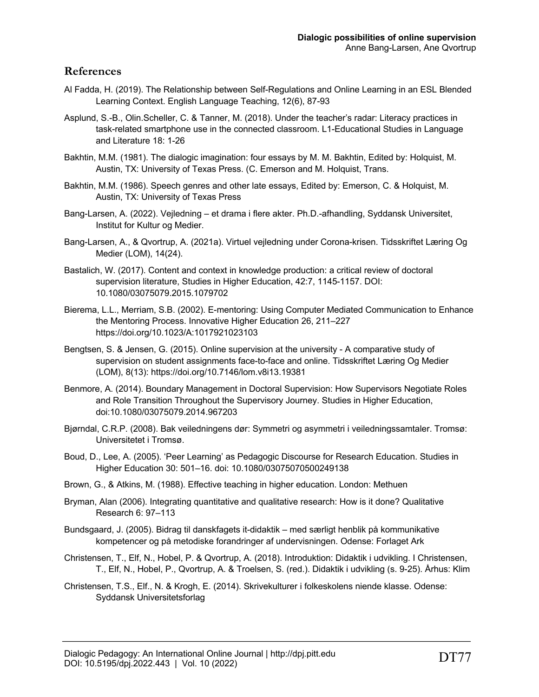# **References**

- Al Fadda, H. (2019). The Relationship between Self-Regulations and Online Learning in an ESL Blended Learning Context. English Language Teaching, 12(6), 87-93
- Asplund, S.-B., Olin.Scheller, C. & Tanner, M. (2018). Under the teacher's radar: Literacy practices in task-related smartphone use in the connected classroom. L1-Educational Studies in Language and Literature 18: 1-26
- Bakhtin, M.M. (1981). The dialogic imagination: four essays by M. M. Bakhtin, Edited by: Holquist, M. Austin, TX: University of Texas Press. (C. Emerson and M. Holquist, Trans.
- Bakhtin, M.M. (1986). Speech genres and other late essays, Edited by: Emerson, C. & Holquist, M. Austin, TX: University of Texas Press
- Bang-Larsen, A. (2022). Vejledning et drama i flere akter. Ph.D.-afhandling, Syddansk Universitet, Institut for Kultur og Medier.
- Bang-Larsen, A., & Qvortrup, A. (2021a). Virtuel vejledning under Corona-krisen. Tidsskriftet Læring Og Medier (LOM), 14(24).
- Bastalich, W. (2017). Content and context in knowledge production: a critical review of doctoral supervision literature, Studies in Higher Education, 42:7, 1145-1157. DOI: 10.1080/03075079.2015.1079702
- Bierema, L.L., Merriam, S.B. (2002). E-mentoring: Using Computer Mediated Communication to Enhance the Mentoring Process. Innovative Higher Education 26, 211–227 https://doi.org/10.1023/A:1017921023103
- Bengtsen, S. & Jensen, G. (2015). Online supervision at the university A comparative study of supervision on student assignments face-to-face and online. Tidsskriftet Læring Og Medier (LOM), 8(13): https://doi.org/10.7146/lom.v8i13.19381
- Benmore, A. (2014). Boundary Management in Doctoral Supervision: How Supervisors Negotiate Roles and Role Transition Throughout the Supervisory Journey. Studies in Higher Education, doi:10.1080/03075079.2014.967203
- Bjørndal, C.R.P. (2008). Bak veiledningens dør: Symmetri og asymmetri i veiledningssamtaler. Tromsø: Universitetet i Tromsø.
- Boud, D., Lee, A. (2005). 'Peer Learning' as Pedagogic Discourse for Research Education. Studies in Higher Education 30: 501–16. doi: 10.1080/03075070500249138
- Brown, G., & Atkins, M. (1988). Effective teaching in higher education. London: Methuen
- Bryman, Alan (2006). Integrating quantitative and qualitative research: How is it done? Qualitative Research 6: 97–113
- Bundsgaard, J. (2005). Bidrag til danskfagets it-didaktik med særligt henblik på kommunikative kompetencer og på metodiske forandringer af undervisningen. Odense: Forlaget Ark
- Christensen, T., Elf, N., Hobel, P. & Qvortrup, A. (2018). Introduktion: Didaktik i udvikling. I Christensen, T., Elf, N., Hobel, P., Qvortrup, A. & Troelsen, S. (red.). Didaktik i udvikling (s. 9-25). Århus: Klim
- Christensen, T.S., Elf., N. & Krogh, E. (2014). Skrivekulturer i folkeskolens niende klasse. Odense: Syddansk Universitetsforlag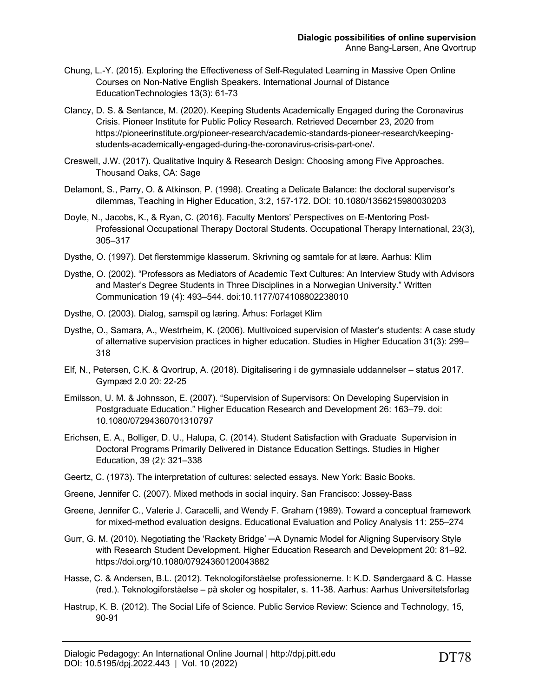- Chung, L.-Y. (2015). Exploring the Effectiveness of Self-Regulated Learning in Massive Open Online Courses on Non-Native English Speakers. International Journal of Distance EducationTechnologies 13(3): 61-73
- Clancy, D. S. & Sentance, M. (2020). Keeping Students Academically Engaged during the Coronavirus Crisis. Pioneer Institute for Public Policy Research. Retrieved December 23, 2020 from https://pioneerinstitute.org/pioneer-research/academic-standards-pioneer-research/keepingstudents-academically-engaged-during-the-coronavirus-crisis-part-one/.
- Creswell, J.W. (2017). Qualitative Inquiry & Research Design: Choosing among Five Approaches. Thousand Oaks, CA: Sage
- Delamont, S., Parry, O. & Atkinson, P. (1998). Creating a Delicate Balance: the doctoral supervisor's dilemmas, Teaching in Higher Education, 3:2, 157-172. DOI: 10.1080/1356215980030203
- Doyle, N., Jacobs, K., & Ryan, C. (2016). Faculty Mentors' Perspectives on E-Mentoring Post-Professional Occupational Therapy Doctoral Students. Occupational Therapy International, 23(3), 305–317
- Dysthe, O. (1997). Det flerstemmige klasserum. Skrivning og samtale for at lære. Aarhus: Klim
- Dysthe, O. (2002). "Professors as Mediators of Academic Text Cultures: An Interview Study with Advisors and Master's Degree Students in Three Disciplines in a Norwegian University." Written Communication 19 (4): 493–544. doi:10.1177/074108802238010
- Dysthe, O. (2003). Dialog, samspil og læring. Århus: Forlaget Klim
- Dysthe, O., Samara, A., Westrheim, K. (2006). Multivoiced supervision of Master's students: A case study of alternative supervision practices in higher education. Studies in Higher Education 31(3): 299– 318
- Elf, N., Petersen, C.K. & Qvortrup, A. (2018). Digitalisering i de gymnasiale uddannelser status 2017. Gympæd 2.0 20: 22-25
- Emilsson, U. M. & Johnsson, E. (2007). "Supervision of Supervisors: On Developing Supervision in Postgraduate Education." Higher Education Research and Development 26: 163–79. doi: 10.1080/07294360701310797
- Erichsen, E. A., Bolliger, D. U., Halupa, C. (2014). Student Satisfaction with Graduate Supervision in Doctoral Programs Primarily Delivered in Distance Education Settings. Studies in Higher Education, 39 (2): 321–338
- Geertz, C. (1973). The interpretation of cultures: selected essays. New York: Basic Books.
- Greene, Jennifer C. (2007). Mixed methods in social inquiry. San Francisco: Jossey-Bass
- Greene, Jennifer C., Valerie J. Caracelli, and Wendy F. Graham (1989). Toward a conceptual framework for mixed-method evaluation designs. Educational Evaluation and Policy Analysis 11: 255–274
- Gurr, G. M. (2010). Negotiating the 'Rackety Bridge' ─A Dynamic Model for Aligning Supervisory Style with Research Student Development. Higher Education Research and Development 20: 81–92. https://doi.org/10.1080/07924360120043882
- Hasse, C. & Andersen, B.L. (2012). Teknologiforståelse professionerne. I: K.D. Søndergaard & C. Hasse (red.). Teknologiforståelse – på skoler og hospitaler, s. 11-38. Aarhus: Aarhus Universitetsforlag
- Hastrup, K. B. (2012). The Social Life of Science. Public Service Review: Science and Technology, 15, 90-91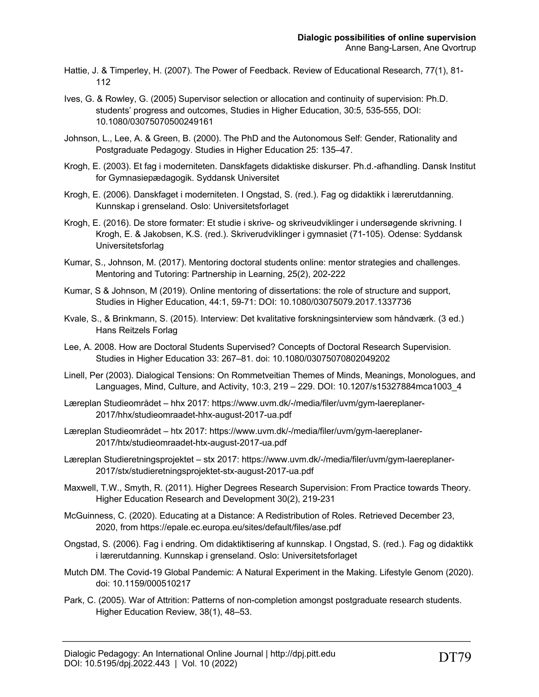- Hattie, J. & Timperley, H. (2007). The Power of Feedback. Review of Educational Research, 77(1), 81- 112
- Ives, G. & Rowley, G. (2005) Supervisor selection or allocation and continuity of supervision: Ph.D. students' progress and outcomes, Studies in Higher Education, 30:5, 535-555, DOI: 10.1080/03075070500249161
- Johnson, L., Lee, A. & Green, B. (2000). The PhD and the Autonomous Self: Gender, Rationality and Postgraduate Pedagogy. Studies in Higher Education 25: 135–47.
- Krogh, E. (2003). Et fag i moderniteten. Danskfagets didaktiske diskurser. Ph.d.-afhandling. Dansk Institut for Gymnasiepædagogik. Syddansk Universitet
- Krogh, E. (2006). Danskfaget i moderniteten. I Ongstad, S. (red.). Fag og didaktikk i lærerutdanning. Kunnskap i grenseland. Oslo: Universitetsforlaget
- Krogh, E. (2016). De store formater: Et studie i skrive- og skriveudviklinger i undersøgende skrivning. I Krogh, E. & Jakobsen, K.S. (red.). Skriverudviklinger i gymnasiet (71-105). Odense: Syddansk Universitetsforlag
- Kumar, S., Johnson, M. (2017). Mentoring doctoral students online: mentor strategies and challenges. Mentoring and Tutoring: Partnership in Learning, 25(2), 202-222
- Kumar, S & Johnson, M (2019). Online mentoring of dissertations: the role of structure and support, Studies in Higher Education, 44:1, 59-71: DOI: 10.1080/03075079.2017.1337736
- Kvale, S., & Brinkmann, S. (2015). Interview: Det kvalitative forskningsinterview som håndværk. (3 ed.) Hans Reitzels Forlag
- Lee, A. 2008. How are Doctoral Students Supervised? Concepts of Doctoral Research Supervision. Studies in Higher Education 33: 267–81. doi: 10.1080/03075070802049202
- Linell, Per (2003). Dialogical Tensions: On Rommetveitian Themes of Minds, Meanings, Monologues, and Languages, Mind, Culture, and Activity, 10:3, 219 – 229. DOI: 10.1207/s15327884mca1003\_4
- Læreplan Studieområdet hhx 2017: https://www.uvm.dk/-/media/filer/uvm/gym-laereplaner-2017/hhx/studieomraadet-hhx-august-2017-ua.pdf
- Læreplan Studieområdet htx 2017: https://www.uvm.dk/-/media/filer/uvm/gym-laereplaner-2017/htx/studieomraadet-htx-august-2017-ua.pdf
- Læreplan Studieretningsprojektet stx 2017: https://www.uvm.dk/-/media/filer/uvm/gym-laereplaner-2017/stx/studieretningsprojektet-stx-august-2017-ua.pdf
- Maxwell, T.W., Smyth, R. (2011). Higher Degrees Research Supervision: From Practice towards Theory. Higher Education Research and Development 30(2), 219-231
- McGuinness, C. (2020). Educating at a Distance: A Redistribution of Roles. Retrieved December 23, 2020, from https://epale.ec.europa.eu/sites/default/files/ase.pdf
- Ongstad, S. (2006). Fag i endring. Om didaktiktisering af kunnskap. I Ongstad, S. (red.). Fag og didaktikk i lærerutdanning. Kunnskap i grenseland. Oslo: Universitetsforlaget
- Mutch DM. The Covid-19 Global Pandemic: A Natural Experiment in the Making. Lifestyle Genom (2020). doi: 10.1159/000510217
- Park, C. (2005). War of Attrition: Patterns of non-completion amongst postgraduate research students. Higher Education Review, 38(1), 48–53.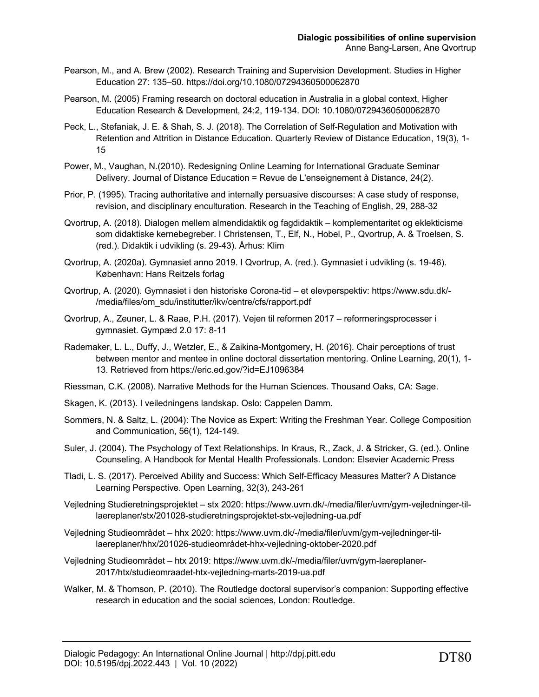- Pearson, M., and A. Brew (2002). Research Training and Supervision Development. Studies in Higher Education 27: 135–50. https://doi.org/10.1080/07294360500062870
- Pearson, M. (2005) Framing research on doctoral education in Australia in a global context, Higher Education Research & Development, 24:2, 119-134. DOI: 10.1080/07294360500062870
- Peck, L., Stefaniak, J. E. & Shah, S. J. (2018). The Correlation of Self-Regulation and Motivation with Retention and Attrition in Distance Education. Quarterly Review of Distance Education, 19(3), 1- 15
- Power, M., Vaughan, N.(2010). Redesigning Online Learning for International Graduate Seminar Delivery. Journal of Distance Education = Revue de L'enseignement à Distance, 24(2).
- Prior, P. (1995). Tracing authoritative and internally persuasive discourses: A case study of response, revision, and disciplinary enculturation. Research in the Teaching of English, 29, 288-32
- Qvortrup, A. (2018). Dialogen mellem almendidaktik og fagdidaktik komplementaritet og eklekticisme som didaktiske kernebegreber. I Christensen, T., Elf, N., Hobel, P., Qvortrup, A. & Troelsen, S. (red.). Didaktik i udvikling (s. 29-43). Århus: Klim
- Qvortrup, A. (2020a). Gymnasiet anno 2019. I Qvortrup, A. (red.). Gymnasiet i udvikling (s. 19-46). København: Hans Reitzels forlag
- Qvortrup, A. (2020). Gymnasiet i den historiske Corona-tid et elevperspektiv: https://www.sdu.dk/- /media/files/om\_sdu/institutter/ikv/centre/cfs/rapport.pdf
- Qvortrup, A., Zeuner, L. & Raae, P.H. (2017). Vejen til reformen 2017 reformeringsprocesser i gymnasiet. Gympæd 2.0 17: 8-11
- Rademaker, L. L., Duffy, J., Wetzler, E., & Zaikina-Montgomery, H. (2016). Chair perceptions of trust between mentor and mentee in online doctoral dissertation mentoring. Online Learning, 20(1), 1- 13. Retrieved from https://eric.ed.gov/?id=EJ1096384
- Riessman, C.K. (2008). Narrative Methods for the Human Sciences. Thousand Oaks, CA: Sage.
- Skagen, K. (2013). I veiledningens landskap. Oslo: Cappelen Damm.
- Sommers, N. & Saltz, L. (2004): The Novice as Expert: Writing the Freshman Year. College Composition and Communication, 56(1), 124-149.
- Suler, J. (2004). The Psychology of Text Relationships. In Kraus, R., Zack, J. & Stricker, G. (ed.). Online Counseling. A Handbook for Mental Health Professionals. London: Elsevier Academic Press
- Tladi, L. S. (2017). Perceived Ability and Success: Which Self-Efficacy Measures Matter? A Distance Learning Perspective. Open Learning, 32(3), 243-261
- Vejledning Studieretningsprojektet stx 2020: https://www.uvm.dk/-/media/filer/uvm/gym-vejledninger-tillaereplaner/stx/201028-studieretningsprojektet-stx-vejledning-ua.pdf
- Vejledning Studieområdet hhx 2020: https://www.uvm.dk/-/media/filer/uvm/gym-vejledninger-tillaereplaner/hhx/201026-studieområdet-hhx-vejledning-oktober-2020.pdf
- Vejledning Studieområdet htx 2019: https://www.uvm.dk/-/media/filer/uvm/gym-laereplaner-2017/htx/studieomraadet-htx-vejledning-marts-2019-ua.pdf
- Walker, M. & Thomson, P. (2010). The Routledge doctoral supervisor's companion: Supporting effective research in education and the social sciences, London: Routledge.